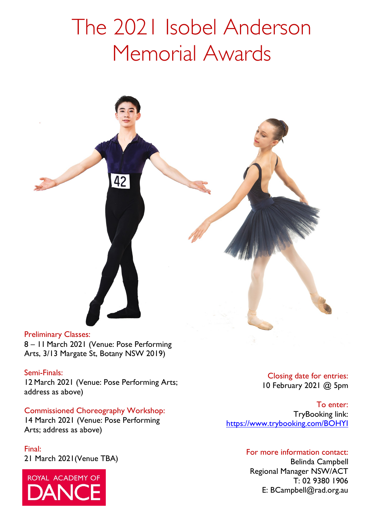# The 2021 Isobel Anderson Memorial Awards



8 – 11 March 2021 (Venue: Pose Performing Arts, 3/13 Margate St, Botany NSW 2019)

#### Semi-Finals:

12 March 2021 (Venue: Pose Performing Arts; address as above)

#### Commissioned Choreography Workshop:

Arts; address as above) 14 March 2021 (Venue: Pose Performing

Final: 21 March 2021(Venue TBA)



Closing date for entries: 10 February 2021 @ 5pm

To enter: TryBooking link: <https://www.trybooking.com/BOHYI>

#### For more information contact:

Belinda Campbell Regional Manager NSW/ACT T: 02 9380 1906 E: BCampbell@rad.org.au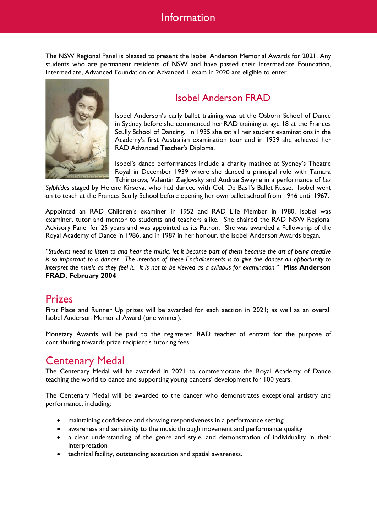### Information

The NSW Regional Panel is pleased to present the Isobel Anderson Memorial Awards for 2021. Any students who are permanent residents of NSW and have passed their Intermediate Foundation, Intermediate, Advanced Foundation or Advanced 1 exam in 2020 are eligible to enter.



### Isobel Anderson FRAD

Isobel Anderson's early ballet training was at the Osborn School of Dance in Sydney before she commenced her RAD training at age 18 at the Frances Scully School of Dancing. In 1935 she sat all her student examinations in the Academy's first Australian examination tour and in 1939 she achieved her RAD Advanced Teacher's Diploma.

Isobel's dance performances include a charity matinee at Sydney's Theatre Royal in December 1939 where she danced a principal role with Tamara Tchinorova, Valentin Zeglovsky and Audrae Swayne in a performance of *Les* 

*Sylphides* staged by Helene Kirsova, who had danced with Col. De Basil's Ballet Russe. Isobel went on to teach at the Frances Scully School before opening her own ballet school from 1946 until 1967.

Appointed an RAD Children's examiner in 1952 and RAD Life Member in 1980, Isobel was examiner, tutor and mentor to students and teachers alike. She chaired the RAD NSW Regional Advisory Panel for 25 years and was appointed as its Patron. She was awarded a Fellowship of the Royal Academy of Dance in 1986, and in 1987 in her honour, the Isobel Anderson Awards began.

*"Students need to listen to and hear the music, let it become part of them because the art of being creative is so important to a dancer. The intention of these Enchaînements is to give the dancer an opportunity to interpret the music as they feel it. It is not to be viewed as a syllabus for examination."* **Miss Anderson FRAD, February 2004**

### Prizes

First Place and Runner Up prizes will be awarded for each section in 2021; as well as an overall Isobel Anderson Memorial Award (one winner).

Monetary Awards will be paid to the registered RAD teacher of entrant for the purpose of contributing towards prize recipient's tutoring fees.

### Centenary Medal

The Centenary Medal will be awarded in 2021 to commemorate the Royal Academy of Dance teaching the world to dance and supporting young dancers' development for 100 years.

The Centenary Medal will be awarded to the dancer who demonstrates exceptional artistry and performance, including:

- maintaining confidence and showing responsiveness in a performance setting
- awareness and sensitivity to the music through movement and performance quality
- a clear understanding of the genre and style, and demonstration of individuality in their interpretation
- technical facility, outstanding execution and spatial awareness.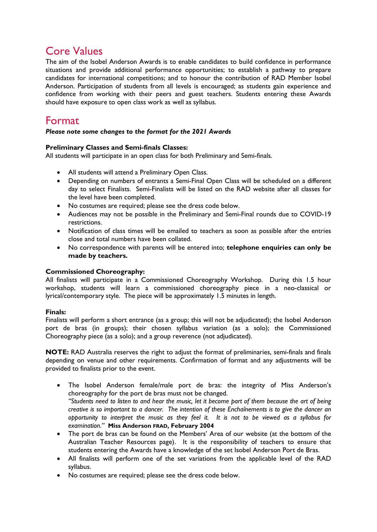### Core Values

The aim of the Isobel Anderson Awards is to enable candidates to build confidence in performance situations and provide additional performance opportunities; to establish a pathway to prepare candidates for international competitions; and to honour the contribution of RAD Member Isobel Anderson. Participation of students from all levels is encouraged; as students gain experience and confidence from working with their peers and guest teachers. Students entering these Awards should have exposure to open class work as well as syllabus.

### Format

#### *Please note some changes to the format for the 2021 Awards*

#### **Preliminary Classes and Semi-finals Classes:**

All students will participate in an open class for both Preliminary and Semi-finals.

- All students will attend a Preliminary Open Class.
- Depending on numbers of entrants a Semi-Final Open Class will be scheduled on a different day to select Finalists. Semi-Finalists will be listed on the RAD website after all classes for the level have been completed.
- No costumes are required; please see the dress code below.
- Audiences may not be possible in the Preliminary and Semi-Final rounds due to COVID-19 restrictions.
- Notification of class times will be emailed to teachers as soon as possible after the entries close and total numbers have been collated.
- No correspondence with parents will be entered into; **telephone enquiries can only be made by teachers.**

#### **Commissioned Choreography:**

All finalists will participate in a Commissioned Choreography Workshop. During this 1.5 hour workshop, students will learn a commissioned choreography piece in a neo-classical or lyrical/contemporary style. The piece will be approximately 1.5 minutes in length.

#### **Finals:**

Finalists will perform a short entrance (as a group; this will not be adjudicated); the Isobel Anderson port de bras (in groups); their chosen syllabus variation (as a solo); the Commissioned Choreography piece (as a solo); and a group reverence (not adjudicated).

**NOTE:** RAD Australia reserves the right to adjust the format of preliminaries, semi-finals and finals depending on venue and other requirements. Confirmation of format and any adjustments will be provided to finalists prior to the event.

- The Isobel Anderson female/male port de bras: the integrity of Miss Anderson's choreography for the port de bras must not be changed. *"Students need to listen to and hear the music, let it become part of them because the art of being creative is so important to a dancer. The intention of these Enchaînements is to give the dancer an opportunity to interpret the music as they feel it. It is not to be viewed as a syllabus for examination."* **Miss Anderson FRAD, February 2004**
- The port de bras can be found on the Members' Area of our website (at the bottom of the Australian Teacher Resources page). It is the responsibility of teachers to ensure that students entering the Awards have a knowledge of the set Isobel Anderson Port de Bras.
- All finalists will perform one of the set variations from the applicable level of the RAD syllabus.
- No costumes are required; please see the dress code below.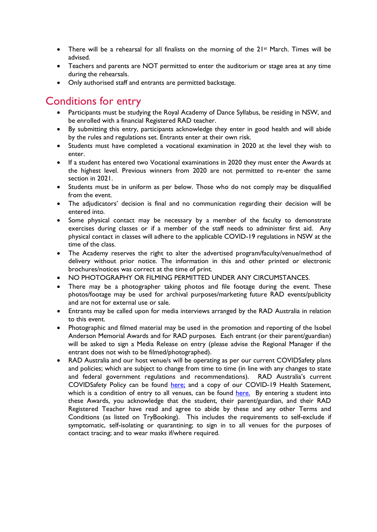- There will be a rehearsal for all finalists on the morning of the  $21<sup>st</sup>$  March. Times will be advised.
- Teachers and parents are NOT permitted to enter the auditorium or stage area at any time during the rehearsals.
- Only authorised staff and entrants are permitted backstage.

### Conditions for entry

- Participants must be studying the Royal Academy of Dance Syllabus, be residing in NSW, and be enrolled with a financial Registered RAD teacher.
- By submitting this entry, participants acknowledge they enter in good health and will abide by the rules and regulations set. Entrants enter at their own risk.
- Students must have completed a vocational examination in 2020 at the level they wish to enter.
- If a student has entered two Vocational examinations in 2020 they must enter the Awards at the highest level. Previous winners from 2020 are not permitted to re-enter the same section in 2021.
- Students must be in uniform as per below. Those who do not comply may be disqualified from the event.
- The adjudicators' decision is final and no communication regarding their decision will be entered into.
- Some physical contact may be necessary by a member of the faculty to demonstrate exercises during classes or if a member of the staff needs to administer first aid. Any physical contact in classes will adhere to the applicable COVID-19 regulations in NSW at the time of the class.
- The Academy reserves the right to alter the advertised program/faculty/venue/method of delivery without prior notice. The information in this and other printed or electronic brochures/notices was correct at the time of print.
- NO PHOTOGRAPHY OR FILMING PERMITTED UNDER ANY CIRCUMSTANCES.
- There may be a photographer taking photos and file footage during the event. These photos/footage may be used for archival purposes/marketing future RAD events/publicity and are not for external use or sale.
- Entrants may be called upon for media interviews arranged by the RAD Australia in relation to this event.
- Photographic and filmed material may be used in the promotion and reporting of the Isobel Anderson Memorial Awards and for RAD purposes. Each entrant (or their parent/guardian) will be asked to sign a Media Release on entry (please advise the Regional Manager if the entrant does not wish to be filmed/photographed).
- RAD Australia and our host venue/s will be operating as per our current COVIDSafety plans and policies; which are subject to change from time to time (in line with any changes to state and federal government regulations and recommendations). RAD Australia's current COVIDSafety Policy can be found [here;](https://media.royalacademyofdance.org/media/2020/10/02102647/RAD-AU-COVID-Policy-Final-PUBLIC-v1.2.pdf) and a copy of our COVID-19 Health Statement, which is a condition of entry to all venues, can be found [here.](https://au.royalacademyofdance.org/rad-australia-covid-health-statement/) By entering a student into these Awards, you acknowledge that the student, their parent/guardian, and their RAD Registered Teacher have read and agree to abide by these and any other Terms and Conditions (as listed on TryBooking). This includes the requirements to self-exclude if symptomatic, self-isolating or quarantining; to sign in to all venues for the purposes of contact tracing; and to wear masks if/where required.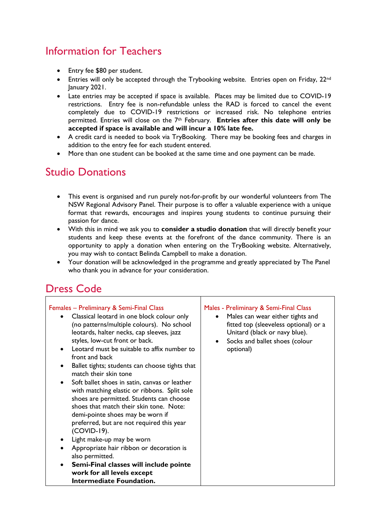# Information for Teachers

- Entry fee \$80 per student.
- Entries will only be accepted through the Trybooking website. Entries open on Friday, 22<sup>nd</sup> January 2021.
- Late entries may be accepted if space is available. Places may be limited due to COVID-19 restrictions. Entry fee is non-refundable unless the RAD is forced to cancel the event completely due to COVID-19 restrictions or increased risk. No telephone entries permitted. Entries will close on the 7th February. **Entries after this date will only be accepted if space is available and will incur a 10% late fee.**
- A credit card is needed to book via TryBooking. There may be booking fees and charges in addition to the entry fee for each student entered.
- More than one student can be booked at the same time and one payment can be made.

# Studio Donations

- This event is organised and run purely not-for-profit by our wonderful volunteers from The NSW Regional Advisory Panel. Their purpose is to offer a valuable experience with a unique format that rewards, encourages and inspires young students to continue pursuing their passion for dance.
- With this in mind we ask you to **consider a studio donation** that will directly benefit your students and keep these events at the forefront of the dance community. There is an opportunity to apply a donation when entering on the TryBooking website. Alternatively, you may wish to contact Belinda Campbell to make a donation.
- Your donation will be acknowledged in the programme and greatly appreciated by The Panel who thank you in advance for your consideration.

## Dress Code

| Females - Preliminary & Semi-Final Class<br>Classical leotard in one block colour only<br>(no patterns/multiple colours). No school<br>leotards, halter necks, cap sleeves, jazz<br>styles, low-cut front or back.<br>Leotard must be suitable to affix number to<br>front and back<br>Ballet tights; students can choose tights that<br>match their skin tone<br>Soft ballet shoes in satin, canvas or leather<br>with matching elastic or ribbons. Split sole<br>shoes are permitted. Students can choose<br>shoes that match their skin tone. Note:<br>demi-pointe shoes may be worn if<br>preferred, but are not required this year<br>(COVID-19).<br>Light make-up may be worn<br>Appropriate hair ribbon or decoration is<br>also permitted.<br>Semi-Final classes will include pointe<br>work for all levels except<br><b>Intermediate Foundation.</b> | Males - Preliminary & Semi-Final Class<br>Males can wear either tights and<br>fitted top (sleeveless optional) or a<br>Unitard (black or navy blue).<br>Socks and ballet shoes (colour<br>$\bullet$<br>optional) |
|---------------------------------------------------------------------------------------------------------------------------------------------------------------------------------------------------------------------------------------------------------------------------------------------------------------------------------------------------------------------------------------------------------------------------------------------------------------------------------------------------------------------------------------------------------------------------------------------------------------------------------------------------------------------------------------------------------------------------------------------------------------------------------------------------------------------------------------------------------------|------------------------------------------------------------------------------------------------------------------------------------------------------------------------------------------------------------------|
|---------------------------------------------------------------------------------------------------------------------------------------------------------------------------------------------------------------------------------------------------------------------------------------------------------------------------------------------------------------------------------------------------------------------------------------------------------------------------------------------------------------------------------------------------------------------------------------------------------------------------------------------------------------------------------------------------------------------------------------------------------------------------------------------------------------------------------------------------------------|------------------------------------------------------------------------------------------------------------------------------------------------------------------------------------------------------------------|